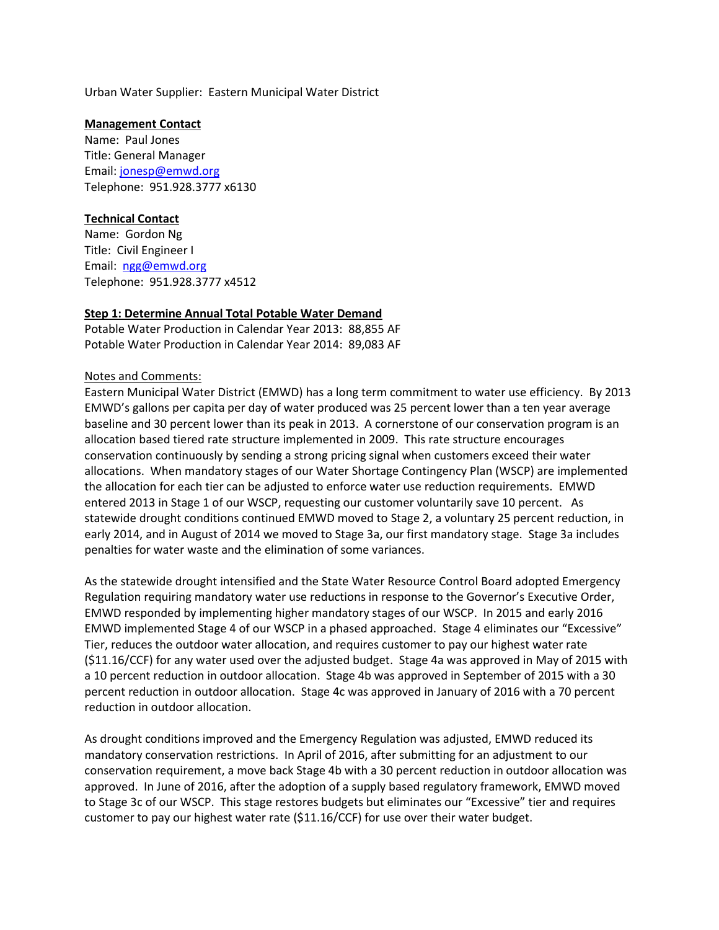Urban Water Supplier: Eastern Municipal Water District

#### **Management Contact**

Name: Paul Jones Title: General Manager Email: [jonesp@emwd.org](mailto:jonesp@emwd.org) Telephone: 951.928.3777 x6130

## **Technical Contact**

Name: Gordon Ng Title: Civil Engineer I Email: [ngg@emwd.org](mailto:ngg@emwd.org) Telephone: 951.928.3777 x4512

# **Step 1: Determine Annual Total Potable Water Demand**

Potable Water Production in Calendar Year 2013: 88,855 AF Potable Water Production in Calendar Year 2014: 89,083 AF

## Notes and Comments:

Eastern Municipal Water District (EMWD) has a long term commitment to water use efficiency. By 2013 EMWD's gallons per capita per day of water produced was 25 percent lower than a ten year average baseline and 30 percent lower than its peak in 2013. A cornerstone of our conservation program is an allocation based tiered rate structure implemented in 2009. This rate structure encourages conservation continuously by sending a strong pricing signal when customers exceed their water allocations. When mandatory stages of our Water Shortage Contingency Plan (WSCP) are implemented the allocation for each tier can be adjusted to enforce water use reduction requirements. EMWD entered 2013 in Stage 1 of our WSCP, requesting our customer voluntarily save 10 percent. As statewide drought conditions continued EMWD moved to Stage 2, a voluntary 25 percent reduction, in early 2014, and in August of 2014 we moved to Stage 3a, our first mandatory stage. Stage 3a includes penalties for water waste and the elimination of some variances.

As the statewide drought intensified and the State Water Resource Control Board adopted Emergency Regulation requiring mandatory water use reductions in response to the Governor's Executive Order, EMWD responded by implementing higher mandatory stages of our WSCP. In 2015 and early 2016 EMWD implemented Stage 4 of our WSCP in a phased approached. Stage 4 eliminates our "Excessive" Tier, reduces the outdoor water allocation, and requires customer to pay our highest water rate (\$11.16/CCF) for any water used over the adjusted budget. Stage 4a was approved in May of 2015 with a 10 percent reduction in outdoor allocation. Stage 4b was approved in September of 2015 with a 30 percent reduction in outdoor allocation. Stage 4c was approved in January of 2016 with a 70 percent reduction in outdoor allocation.

As drought conditions improved and the Emergency Regulation was adjusted, EMWD reduced its mandatory conservation restrictions. In April of 2016, after submitting for an adjustment to our conservation requirement, a move back Stage 4b with a 30 percent reduction in outdoor allocation was approved. In June of 2016, after the adoption of a supply based regulatory framework, EMWD moved to Stage 3c of our WSCP. This stage restores budgets but eliminates our "Excessive" tier and requires customer to pay our highest water rate (\$11.16/CCF) for use over their water budget.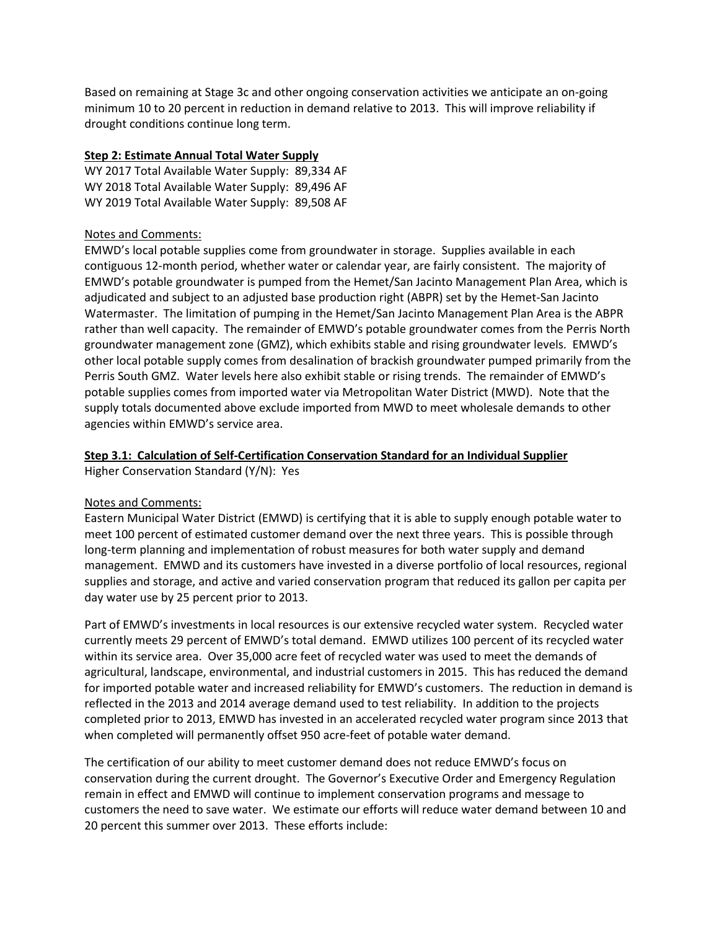Based on remaining at Stage 3c and other ongoing conservation activities we anticipate an on-going minimum 10 to 20 percent in reduction in demand relative to 2013. This will improve reliability if drought conditions continue long term.

## **Step 2: Estimate Annual Total Water Supply**

WY 2017 Total Available Water Supply: 89,334 AF WY 2018 Total Available Water Supply: 89,496 AF WY 2019 Total Available Water Supply: 89,508 AF

### Notes and Comments:

EMWD's local potable supplies come from groundwater in storage. Supplies available in each contiguous 12-month period, whether water or calendar year, are fairly consistent. The majority of EMWD's potable groundwater is pumped from the Hemet/San Jacinto Management Plan Area, which is adjudicated and subject to an adjusted base production right (ABPR) set by the Hemet-San Jacinto Watermaster. The limitation of pumping in the Hemet/San Jacinto Management Plan Area is the ABPR rather than well capacity. The remainder of EMWD's potable groundwater comes from the Perris North groundwater management zone (GMZ), which exhibits stable and rising groundwater levels. EMWD's other local potable supply comes from desalination of brackish groundwater pumped primarily from the Perris South GMZ. Water levels here also exhibit stable or rising trends. The remainder of EMWD's potable supplies comes from imported water via Metropolitan Water District (MWD). Note that the supply totals documented above exclude imported from MWD to meet wholesale demands to other agencies within EMWD's service area.

### **Step 3.1: Calculation of Self-Certification Conservation Standard for an Individual Supplier**

Higher Conservation Standard (Y/N): Yes

#### Notes and Comments:

Eastern Municipal Water District (EMWD) is certifying that it is able to supply enough potable water to meet 100 percent of estimated customer demand over the next three years. This is possible through long-term planning and implementation of robust measures for both water supply and demand management. EMWD and its customers have invested in a diverse portfolio of local resources, regional supplies and storage, and active and varied conservation program that reduced its gallon per capita per day water use by 25 percent prior to 2013.

Part of EMWD's investments in local resources is our extensive recycled water system. Recycled water currently meets 29 percent of EMWD's total demand. EMWD utilizes 100 percent of its recycled water within its service area. Over 35,000 acre feet of recycled water was used to meet the demands of agricultural, landscape, environmental, and industrial customers in 2015. This has reduced the demand for imported potable water and increased reliability for EMWD's customers. The reduction in demand is reflected in the 2013 and 2014 average demand used to test reliability. In addition to the projects completed prior to 2013, EMWD has invested in an accelerated recycled water program since 2013 that when completed will permanently offset 950 acre-feet of potable water demand.

The certification of our ability to meet customer demand does not reduce EMWD's focus on conservation during the current drought. The Governor's Executive Order and Emergency Regulation remain in effect and EMWD will continue to implement conservation programs and message to customers the need to save water. We estimate our efforts will reduce water demand between 10 and 20 percent this summer over 2013. These efforts include: